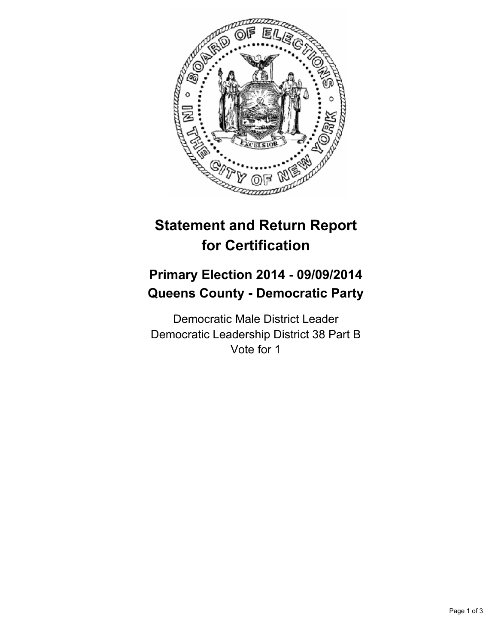

## **Statement and Return Report for Certification**

## **Primary Election 2014 - 09/09/2014 Queens County - Democratic Party**

Democratic Male District Leader Democratic Leadership District 38 Part B Vote for 1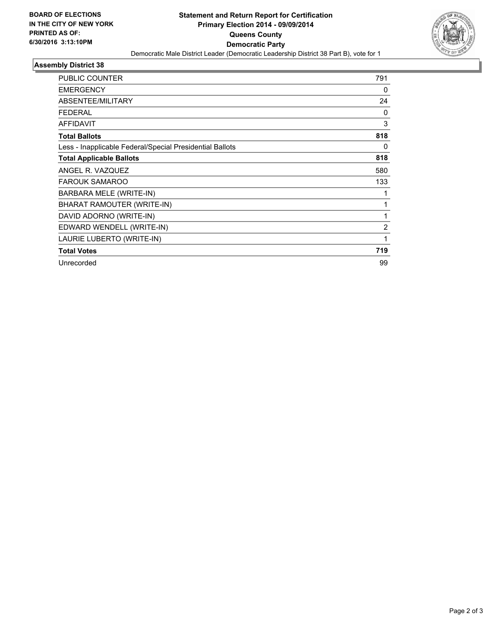

## **Assembly District 38**

| <b>PUBLIC COUNTER</b>                                    | 791            |
|----------------------------------------------------------|----------------|
| <b>EMERGENCY</b>                                         | 0              |
| ABSENTEE/MILITARY                                        | 24             |
| <b>FEDERAL</b>                                           | 0              |
| <b>AFFIDAVIT</b>                                         | 3              |
| <b>Total Ballots</b>                                     | 818            |
| Less - Inapplicable Federal/Special Presidential Ballots | 0              |
| <b>Total Applicable Ballots</b>                          | 818            |
| ANGEL R. VAZQUEZ                                         | 580            |
| <b>FAROUK SAMAROO</b>                                    | 133            |
| BARBARA MELE (WRITE-IN)                                  |                |
| BHARAT RAMOUTER (WRITE-IN)                               | 1              |
| DAVID ADORNO (WRITE-IN)                                  |                |
| EDWARD WENDELL (WRITE-IN)                                | $\overline{2}$ |
| LAURIE LUBERTO (WRITE-IN)                                | 1              |
| <b>Total Votes</b>                                       | 719            |
| Unrecorded                                               | 99             |